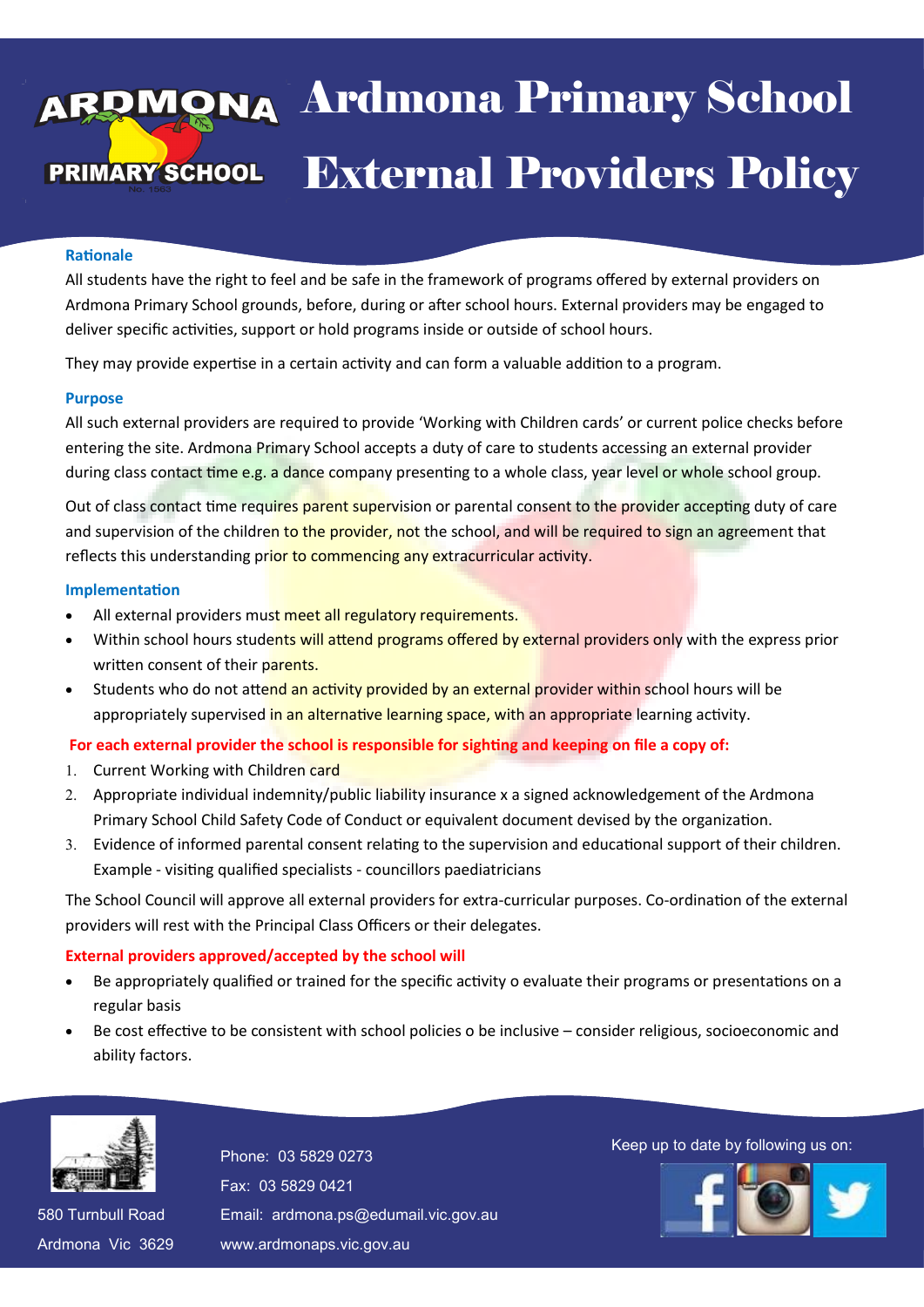# va Ardmona Pri **External Providers Policy** 13 April 2016 Ardmona Primary School

#### **Rationale**

All students have the right to feel and be safe in the framework of programs offered by external providers on Ardmona Primary School grounds, before, during or after school hours. External providers may be engaged to deliver specific activities, support or hold programs inside or outside of school hours.

They may provide expertise in a certain activity and can form a valuable addition to a program.

#### **Purpose**

All such external providers are required to provide 'Working with Children cards' or current police checks before entering the site. Ardmona Primary School accepts a duty of care to students accessing an external provider during class contact time e.g. a dance company presenting to a whole class, year level or whole school group.

Out of class contact time requires parent supervision or parental consent to the provider accepting duty of care and supervision of the children to the provider, not the school, and will be required to sign an agreement that reflects this understanding prior to commencing any extracurricular activity.

#### **Implementation**

- All external providers must meet all regulatory requirements.
- Within school hours students will attend programs offered by external providers only with the express prior written consent of their parents.
- Students who do not attend an activity provided by an external provider within school hours will be appropriately supervised in an alternative learning space, with an appropriate learning activity.

# **For each external provider the school is responsible for sighting and keeping on file a copy of:**

- 1. Current Working with Children card
- 2. Appropriate individual indemnity/public liability insurance x a signed acknowledgement of the Ardmona Primary School Child Safety Code of Conduct or equivalent document devised by the organization.
- Evidence of informed parental consent relating to the supervision and educational support of their children. Example - visiting qualified specialists - councillors paediatricians

The School Council will approve all external providers for extra-curricular purposes. Co-ordination of the external providers will rest with the Principal Class Officers or their delegates.

# **External providers approved/accepted by the school will**

- Be appropriately qualified or trained for the specific activity o evaluate their programs or presentations on a regular basis
- Be cost effective to be consistent with school policies o be inclusive consider religious, socioeconomic and ability factors.



580 Turnbull Road 580 Turnbull Road Ardmona Vic 3629 Ardmona Vic 3629 Fax: 03 5829 0421 Fax: 03 5829 0421 Email: ardmona.ps@edumail.vic.gov.au Email: ardmona.ps@edumail.vic.gov.au www.ardmonaps.vic.gov.au www.ardmonaps.vic.gov.au

Thone: 03 5829 0273<br>Phone: 03 5829 0273